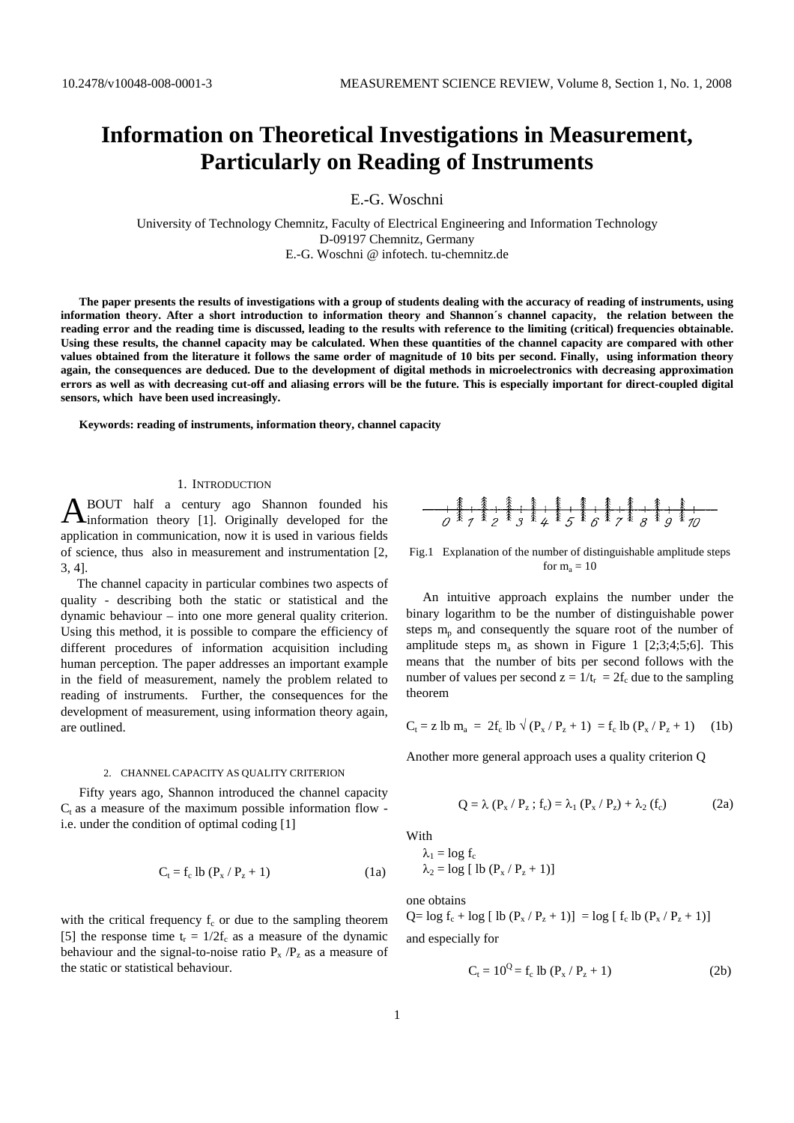# **Information on Theoretical Investigations in Measurement, Particularly on Reading of Instruments**

E.-G. Woschni

University of Technology Chemnitz, Faculty of Electrical Engineering and Information Technology D-09197 Chemnitz, Germany E.-G. Woschni @ infotech. tu-chemnitz.de

**The paper presents the results of investigations with a group of students dealing with the accuracy of reading of instruments, using information theory. After a short introduction to information theory and Shannon´s channel capacity, the relation between the reading error and the reading time is discussed, leading to the results with reference to the limiting (critical) frequencies obtainable. Using these results, the channel capacity may be calculated. When these quantities of the channel capacity are compared with other values obtained from the literature it follows the same order of magnitude of 10 bits per second. Finally, using information theory again, the consequences are deduced. Due to the development of digital methods in microelectronics with decreasing approximation errors as well as with decreasing cut-off and aliasing errors will be the future. This is especially important for direct-coupled digital sensors, which have been used increasingly.**

**Keywords: reading of instruments, information theory, channel capacity** 

## 1. INTRODUCTION

BOUT half a century ago Shannon founded his **ABOUT** half a century ago Shannon founded his information theory [1]. Originally developed for the application in communication, now it is used in various fields of science, thus also in measurement and instrumentation [2, 3, 4].

 The channel capacity in particular combines two aspects of quality - describing both the static or statistical and the dynamic behaviour – into one more general quality criterion. Using this method, it is possible to compare the efficiency of different procedures of information acquisition including human perception. The paper addresses an important example in the field of measurement, namely the problem related to reading of instruments. Further, the consequences for the development of measurement, using information theory again, are outlined.

#### 2. CHANNEL CAPACITY AS QUALITY CRITERION

Fifty years ago*,* Shannon introduced the channel capacity  $C_t$  as a measure of the maximum possible information flow i.e. under the condition of optimal coding [1]

$$
C_t = f_c \, lb \, (P_x / P_z + 1) \tag{1a}
$$

with the critical frequency  $f_c$  or due to the sampling theorem [5] the response time  $t_r = 1/2f_c$  as a measure of the dynamic behaviour and the signal-to-noise ratio  $P_x / P_z$  as a measure of the static or statistical behaviour.



Fig.1 Explanation of the number of distinguishable amplitude steps for  $m_a = 10$ 

 An intuitive approach explains the number under the binary logarithm to be the number of distinguishable power steps  $m_p$  and consequently the square root of the number of amplitude steps  $m_a$  as shown in Figure 1 [2;3;4;5;6]. This means that the number of bits per second follows with the number of values per second  $z = 1/t_r = 2f_c$  due to the sampling theorem

$$
C_t = z \text{ lb } m_a = 2f_c \text{ lb } \sqrt{(P_x/P_z + 1)} = f_c \text{ lb } (P_x/P_z + 1)
$$
 (1b)

Another more general approach uses a quality criterion Q

$$
Q = \lambda (P_x / P_z ; f_c) = \lambda_1 (P_x / P_z) + \lambda_2 (f_c)
$$
 (2a)

With

$$
\lambda_1 = \log f_c
$$
  

$$
\lambda_2 = \log [ \text{ lb } (P_x / P_z + 1) ]
$$

one obtains

 $Q = \log f_c + \log [ \ln (P_x / P_z + 1) ] = \log [ f_c \ln (P_x / P_z + 1) ]$ and especially for

$$
C_t = 10^Q = f_c \text{ lb } (P_x / P_z + 1)
$$
 (2b)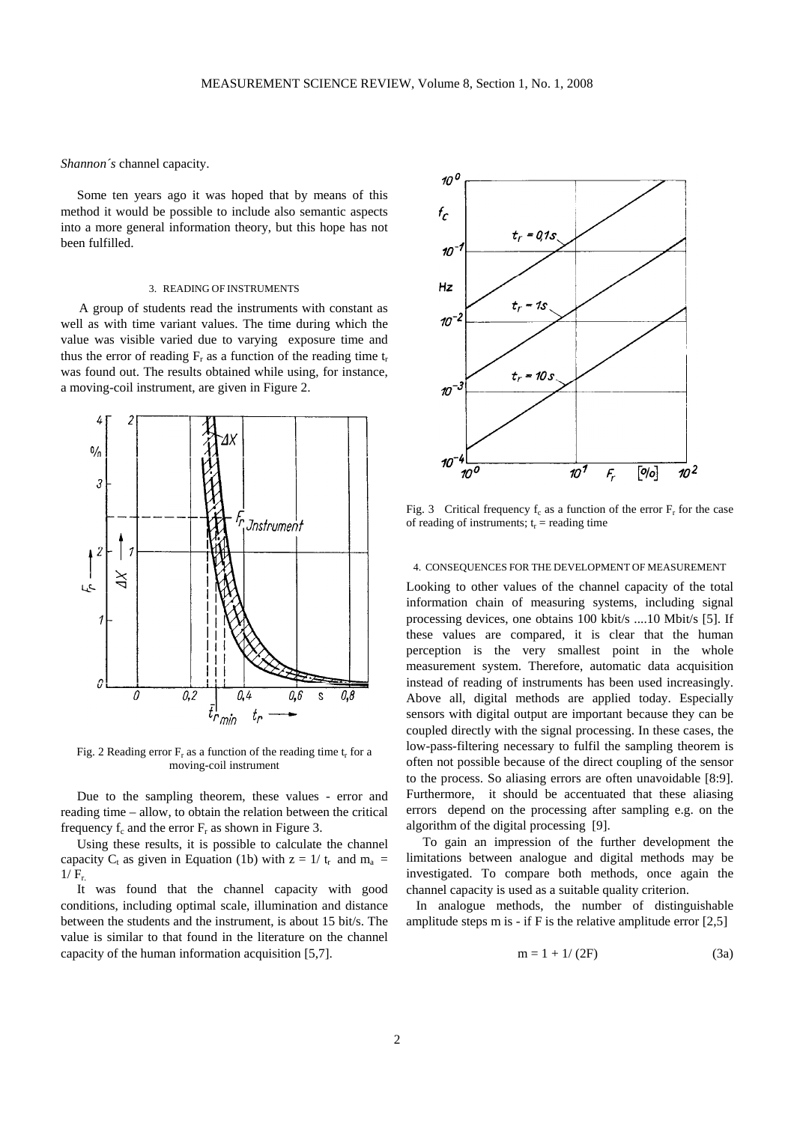*Shannon´s* channel capacity.

 Some ten years ago it was hoped that by means of this method it would be possible to include also semantic aspects into a more general information theory, but this hope has not been fulfilled.

# 3. READING OF INSTRUMENTS

A group of students read the instruments with constant as well as with time variant values. The time during which the value was visible varied due to varying exposure time and thus the error of reading  $F_r$  as a function of the reading time  $t_r$ was found out. The results obtained while using, for instance, a moving-coil instrument, are given in Figure 2.



Fig. 2 Reading error  $F_r$  as a function of the reading time  $t_r$  for a moving-coil instrument

 Due to the sampling theorem, these values - error and reading time – allow, to obtain the relation between the critical frequency  $f_c$  and the error  $F_r$  as shown in Figure 3.

 Using these results, it is possible to calculate the channel capacity C<sub>t</sub> as given in Equation (1b) with  $z = 1/t_r$  and  $m_a$  $1/F_{r.}$ 

 It was found that the channel capacity with good conditions, including optimal scale, illumination and distance between the students and the instrument, is about 15 bit/s. The value is similar to that found in the literature on the channel capacity of the human information acquisition [5,7].



Fig. 3 Critical frequency  $f_c$  as a function of the error  $F<sub>r</sub>$  for the case of reading of instruments;  $t_r$  = reading time

### 4. CONSEQUENCES FOR THE DEVELOPMENT OF MEASUREMENT

Looking to other values of the channel capacity of the total information chain of measuring systems, including signal processing devices, one obtains 100 kbit/s ....10 Mbit/s [5]. If these values are compared, it is clear that the human perception is the very smallest point in the whole measurement system. Therefore, automatic data acquisition instead of reading of instruments has been used increasingly. Above all, digital methods are applied today. Especially sensors with digital output are important because they can be coupled directly with the signal processing. In these cases, the low-pass-filtering necessary to fulfil the sampling theorem is often not possible because of the direct coupling of the sensor to the process. So aliasing errors are often unavoidable [8:9]. Furthermore, it should be accentuated that these aliasing errors depend on the processing after sampling e.g. on the algorithm of the digital processing [9].

 To gain an impression of the further development the limitations between analogue and digital methods may be investigated. To compare both methods, once again the channel capacity is used as a suitable quality criterion.

 In analogue methods, the number of distinguishable amplitude steps m is - if F is the relative amplitude error  $[2,5]$ 

$$
m = 1 + 1/(2F)
$$
 (3a)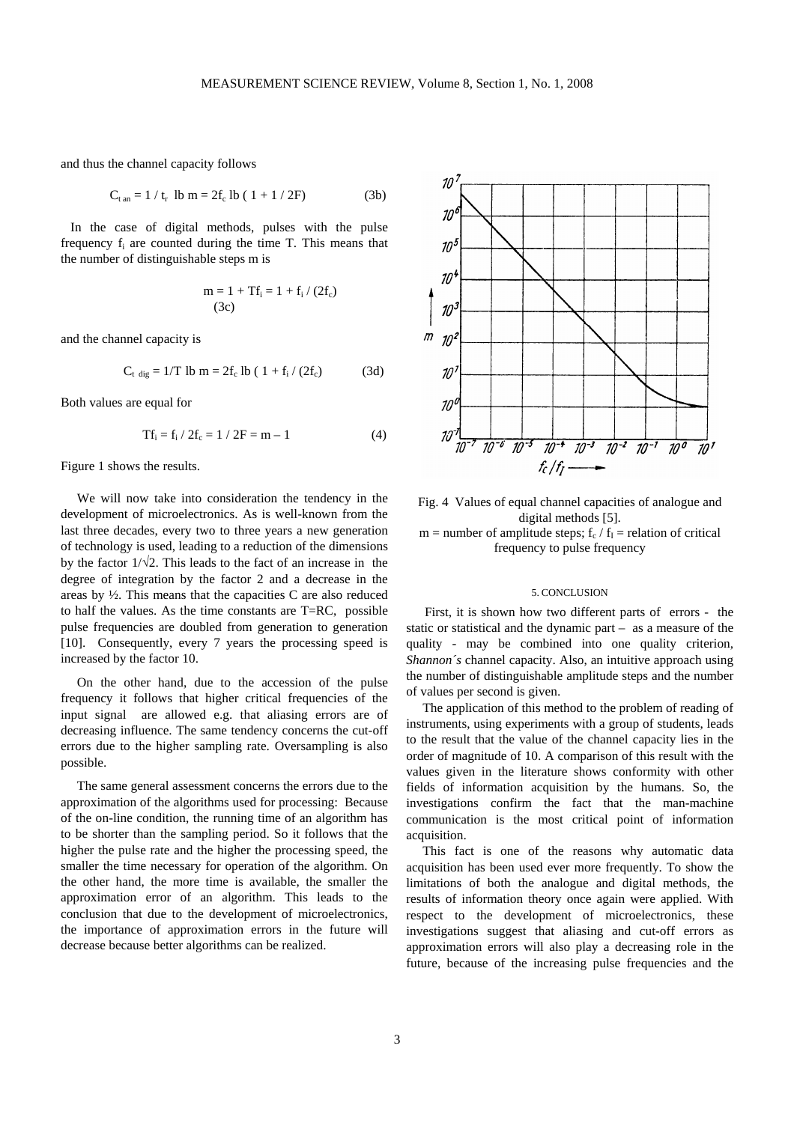and thus the channel capacity follows

$$
C_{\text{tan}} = 1 / t_{\text{r}} \text{ lb m} = 2f_{\text{c}} \text{ lb} (1 + 1 / 2F) \tag{3b}
$$

 In the case of digital methods, pulses with the pulse frequency  $f_i$  are counted during the time T. This means that the number of distinguishable steps m is

$$
m = 1 + Tf_i = 1 + f_i / (2f_c)
$$
  
(3c)

and the channel capacity is

$$
C_{t \text{ dig}} = 1/T \text{ lb m} = 2f_c \text{ lb } (1 + f_i / (2f_c) \tag{3d}
$$

Both values are equal for

$$
Tf_i = f_i / 2f_c = 1 / 2F = m - 1
$$
 (4)

Figure 1 shows the results.

 We will now take into consideration the tendency in the development of microelectronics. As is well-known from the last three decades, every two to three years a new generation of technology is used, leading to a reduction of the dimensions by the factor  $1/\sqrt{2}$ . This leads to the fact of an increase in the degree of integration by the factor 2 and a decrease in the areas by ½. This means that the capacities C are also reduced to half the values. As the time constants are T=RC, possible pulse frequencies are doubled from generation to generation [10]. Consequently, every 7 years the processing speed is increased by the factor 10.

 On the other hand, due to the accession of the pulse frequency it follows that higher critical frequencies of the input signal are allowed e.g. that aliasing errors are of decreasing influence. The same tendency concerns the cut-off errors due to the higher sampling rate. Oversampling is also possible.

 The same general assessment concerns the errors due to the approximation of the algorithms used for processing: Because of the on-line condition, the running time of an algorithm has to be shorter than the sampling period. So it follows that the higher the pulse rate and the higher the processing speed, the smaller the time necessary for operation of the algorithm. On the other hand, the more time is available, the smaller the approximation error of an algorithm. This leads to the conclusion that due to the development of microelectronics, the importance of approximation errors in the future will decrease because better algorithms can be realized.



Fig. 4 Values of equal channel capacities of analogue and digital methods [5]. m = number of amplitude steps;  $f_c / f_I$  = relation of critical frequency to pulse frequency

## 5. CONCLUSION

First, it is shown how two different parts of errors - the static or statistical and the dynamic part – as a measure of the quality - may be combined into one quality criterion, *Shannon´s* channel capacity. Also, an intuitive approach using the number of distinguishable amplitude steps and the number of values per second is given.

 The application of this method to the problem of reading of instruments, using experiments with a group of students, leads to the result that the value of the channel capacity lies in the order of magnitude of 10. A comparison of this result with the values given in the literature shows conformity with other fields of information acquisition by the humans. So, the investigations confirm the fact that the man-machine communication is the most critical point of information acquisition.

 This fact is one of the reasons why automatic data acquisition has been used ever more frequently. To show the limitations of both the analogue and digital methods, the results of information theory once again were applied. With respect to the development of microelectronics, these investigations suggest that aliasing and cut-off errors as approximation errors will also play a decreasing role in the future, because of the increasing pulse frequencies and the